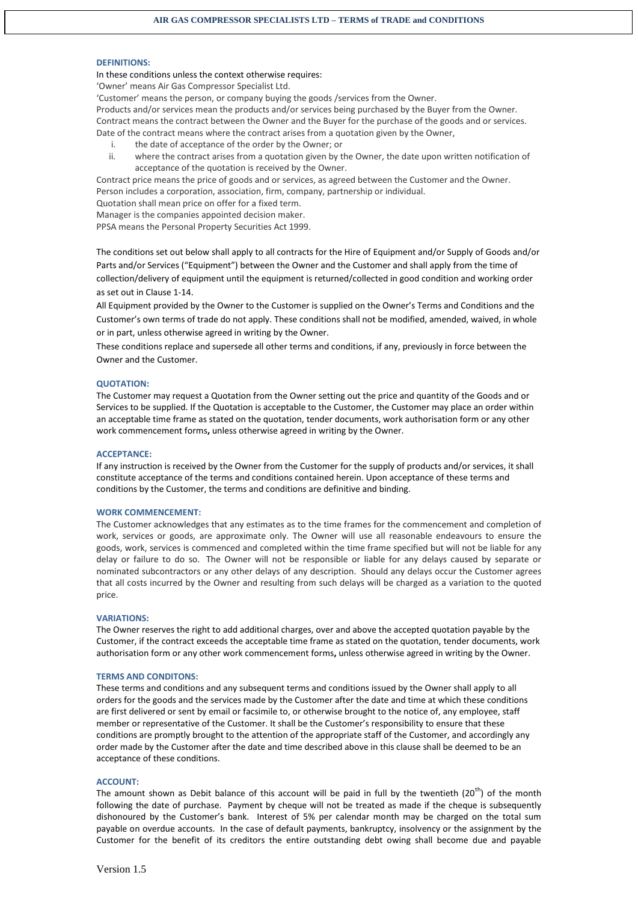### **DEFINITIONS:**

In these conditions unless the context otherwise requires:

'Owner' means Air Gas Compressor Specialist Ltd.

'Customer' means the person, or company buying the goods /services from the Owner.

Products and/or services mean the products and/or services being purchased by the Buyer from the Owner. Contract means the contract between the Owner and the Buyer for the purchase of the goods and or services. Date of the contract means where the contract arises from a quotation given by the Owner,

- i. the date of acceptance of the order by the Owner; or
- ii. where the contract arises from a quotation given by the Owner, the date upon written notification of acceptance of the quotation is received by the Owner.

Contract price means the price of goods and or services, as agreed between the Customer and the Owner. Person includes a corporation, association, firm, company, partnership or individual.

Quotation shall mean price on offer for a fixed term.

Manager is the companies appointed decision maker.

PPSA means the Personal Property Securities Act 1999.

The conditions set out below shall apply to all contracts for the Hire of Equipment and/or Supply of Goods and/or Parts and/or Services ("Equipment") between the Owner and the Customer and shall apply from the time of collection/delivery of equipment until the equipment is returned/collected in good condition and working order as set out in Clause 1-14.

All Equipment provided by the Owner to the Customer is supplied on the Owner's Terms and Conditions and the Customer's own terms of trade do not apply. These conditions shall not be modified, amended, waived, in whole or in part, unless otherwise agreed in writing by the Owner.

These conditions replace and supersede all other terms and conditions, if any, previously in force between the Owner and the Customer.

#### **QUOTATION:**

The Customer may request a Quotation from the Owner setting out the price and quantity of the Goods and or Services to be supplied. If the Quotation is acceptable to the Customer, the Customer may place an order within an acceptable time frame as stated on the quotation, tender documents, work authorisation form or any other work commencement forms**,** unless otherwise agreed in writing by the Owner.

#### **ACCEPTANCE:**

If any instruction is received by the Owner from the Customer for the supply of products and/or services, it shall constitute acceptance of the terms and conditions contained herein. Upon acceptance of these terms and conditions by the Customer, the terms and conditions are definitive and binding.

#### **WORK COMMENCEMENT:**

The Customer acknowledges that any estimates as to the time frames for the commencement and completion of work, services or goods, are approximate only. The Owner will use all reasonable endeavours to ensure the goods, work, services is commenced and completed within the time frame specified but will not be liable for any delay or failure to do so. The Owner will not be responsible or liable for any delays caused by separate or nominated subcontractors or any other delays of any description. Should any delays occur the Customer agrees that all costs incurred by the Owner and resulting from such delays will be charged as a variation to the quoted price.

#### **VARIATIONS:**

The Owner reserves the right to add additional charges, over and above the accepted quotation payable by the Customer, if the contract exceeds the acceptable time frame as stated on the quotation, tender documents, work authorisation form or any other work commencement forms**,** unless otherwise agreed in writing by the Owner.

### **TERMS AND CONDITONS:**

These terms and conditions and any subsequent terms and conditions issued by the Owner shall apply to all orders for the goods and the services made by the Customer after the date and time at which these conditions are first delivered or sent by email or facsimile to, or otherwise brought to the notice of, any employee, staff member or representative of the Customer. It shall be the Customer's responsibility to ensure that these conditions are promptly brought to the attention of the appropriate staff of the Customer, and accordingly any order made by the Customer after the date and time described above in this clause shall be deemed to be an acceptance of these conditions.

### **ACCOUNT:**

The amount shown as Debit balance of this account will be paid in full by the twentieth  $(20<sup>th</sup>)$  of the month following the date of purchase. Payment by cheque will not be treated as made if the cheque is subsequently dishonoured by the Customer's bank. Interest of 5% per calendar month may be charged on the total sum payable on overdue accounts. In the case of default payments, bankruptcy, insolvency or the assignment by the Customer for the benefit of its creditors the entire outstanding debt owing shall become due and payable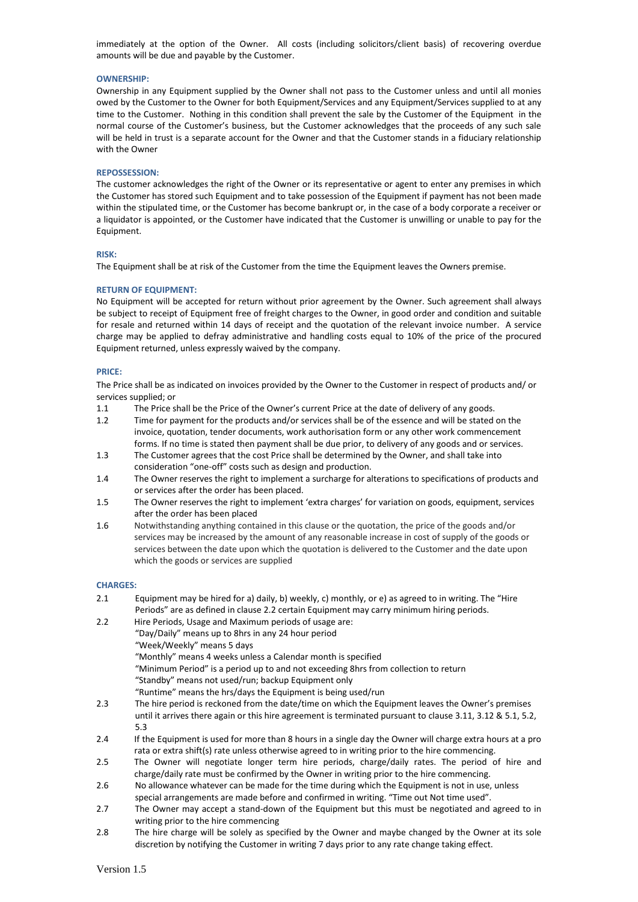immediately at the option of the Owner. All costs (including solicitors/client basis) of recovering overdue amounts will be due and payable by the Customer.

## **OWNERSHIP:**

Ownership in any Equipment supplied by the Owner shall not pass to the Customer unless and until all monies owed by the Customer to the Owner for both Equipment/Services and any Equipment/Services supplied to at any time to the Customer. Nothing in this condition shall prevent the sale by the Customer of the Equipment in the normal course of the Customer's business, but the Customer acknowledges that the proceeds of any such sale will be held in trust is a separate account for the Owner and that the Customer stands in a fiduciary relationship with the Owner

### **REPOSSESSION:**

The customer acknowledges the right of the Owner or its representative or agent to enter any premises in which the Customer has stored such Equipment and to take possession of the Equipment if payment has not been made within the stipulated time, or the Customer has become bankrupt or, in the case of a body corporate a receiver or a liquidator is appointed, or the Customer have indicated that the Customer is unwilling or unable to pay for the Equipment.

### **RISK:**

The Equipment shall be at risk of the Customer from the time the Equipment leaves the Owners premise.

### **RETURN OF EQUIPMENT:**

No Equipment will be accepted for return without prior agreement by the Owner. Such agreement shall always be subject to receipt of Equipment free of freight charges to the Owner, in good order and condition and suitable for resale and returned within 14 days of receipt and the quotation of the relevant invoice number. A service charge may be applied to defray administrative and handling costs equal to 10% of the price of the procured Equipment returned, unless expressly waived by the company.

### **PRICE:**

The Price shall be as indicated on invoices provided by the Owner to the Customer in respect of products and/ or services supplied; or

- 1.1 The Price shall be the Price of the Owner's current Price at the date of delivery of any goods.
- 1.2 Time for payment for the products and/or services shall be of the essence and will be stated on the invoice, quotation, tender documents, work authorisation form or any other work commencement forms. If no time is stated then payment shall be due prior, to delivery of any goods and or services.
- 1.3 The Customer agrees that the cost Price shall be determined by the Owner, and shall take into consideration "one-off" costs such as design and production.
- 1.4 The Owner reserves the right to implement a surcharge for alterations to specifications of products and or services after the order has been placed.
- 1.5 The Owner reserves the right to implement 'extra charges' for variation on goods, equipment, services after the order has been placed
- 1.6 Notwithstanding anything contained in this clause or the quotation, the price of the goods and/or services may be increased by the amount of any reasonable increase in cost of supply of the goods or services between the date upon which the quotation is delivered to the Customer and the date upon which the goods or services are supplied

## **CHARGES:**

| 2.1 | Equipment may be hired for a) daily, b) weekly, c) monthly, or e) as agreed to in writing. The "Hire                                                                                                         |
|-----|--------------------------------------------------------------------------------------------------------------------------------------------------------------------------------------------------------------|
|     | Periods" are as defined in clause 2.2 certain Equipment may carry minimum hiring periods.                                                                                                                    |
| 2.2 | Hire Periods, Usage and Maximum periods of usage are:                                                                                                                                                        |
|     | "Day/Daily" means up to 8hrs in any 24 hour period                                                                                                                                                           |
|     | "Week/Weekly" means 5 days                                                                                                                                                                                   |
|     | "Monthly" means 4 weeks unless a Calendar month is specified                                                                                                                                                 |
|     | "Minimum Period" is a period up to and not exceeding 8hrs from collection to return                                                                                                                          |
|     | "Standby" means not used/run; backup Equipment only                                                                                                                                                          |
|     | "Runtime" means the hrs/days the Equipment is being used/run                                                                                                                                                 |
| 2.3 | The hire period is reckoned from the date/time on which the Equipment leaves the Owner's premises                                                                                                            |
|     | until it arrives there again or this hire agreement is terminated pursuant to clause 3.11, 3.12 & 5.1, 5.2,<br>5.3                                                                                           |
| 2.4 | If the Equipment is used for more than 8 hours in a single day the Owner will charge extra hours at a pro<br>rata or extra shift(s) rate unless otherwise agreed to in writing prior to the hire commencing. |
| 2.5 | The Owner will negotiate longer term hire periods, charge/daily rates. The period of hire and                                                                                                                |
|     | charge/daily rate must be confirmed by the Owner in writing prior to the hire commencing.                                                                                                                    |
| 2.6 | No allowance whatever can be made for the time during which the Equipment is not in use, unless                                                                                                              |
|     | special arrangements are made before and confirmed in writing. "Time out Not time used".                                                                                                                     |
| 2.7 | The Owner may accept a stand-down of the Equipment but this must be negotiated and agreed to in<br>writing prior to the hire commencing                                                                      |

2.8 The hire charge will be solely as specified by the Owner and maybe changed by the Owner at its sole discretion by notifying the Customer in writing 7 days prior to any rate change taking effect.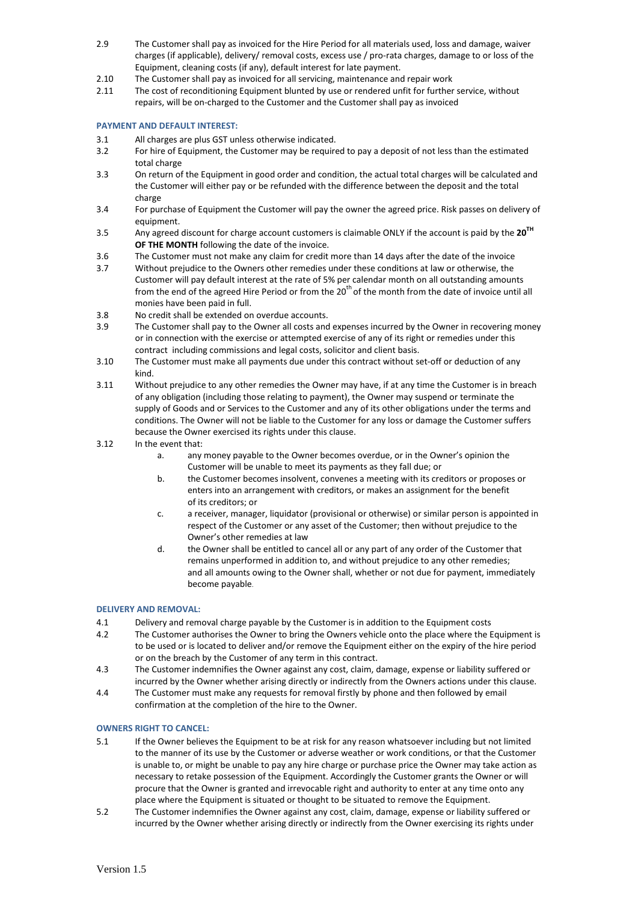- 2.9 The Customer shall pay as invoiced for the Hire Period for all materials used, loss and damage, waiver charges (if applicable), delivery/ removal costs, excess use / pro-rata charges, damage to or loss of the Equipment, cleaning costs (if any), default interest for late payment.
- 2.10 The Customer shall pay as invoiced for all servicing, maintenance and repair work
- 2.11 The cost of reconditioning Equipment blunted by use or rendered unfit for further service, without repairs, will be on-charged to the Customer and the Customer shall pay as invoiced

# **PAYMENT AND DEFAULT INTEREST:**

- 3.1 All charges are plus GST unless otherwise indicated.
- 3.2 For hire of Equipment, the Customer may be required to pay a deposit of not less than the estimated total charge
- 3.3 On return of the Equipment in good order and condition, the actual total charges will be calculated and the Customer will either pay or be refunded with the difference between the deposit and the total charge
- 3.4 For purchase of Equipment the Customer will pay the owner the agreed price. Risk passes on delivery of equipment.
- 3.5 Any agreed discount for charge account customers is claimable ONLY if the account is paid by the **20TH OF THE MONTH** following the date of the invoice.
- 3.6 The Customer must not make any claim for credit more than 14 days after the date of the invoice
- 3.7 Without prejudice to the Owners other remedies under these conditions at law or otherwise, the Customer will pay default interest at the rate of 5% per calendar month on all outstanding amounts from the end of the agreed Hire Period or from the  $20<sup>th</sup>$  of the month from the date of invoice until all monies have been paid in full.
- 3.8 No credit shall be extended on overdue accounts.
- 3.9 The Customer shall pay to the Owner all costs and expenses incurred by the Owner in recovering money or in connection with the exercise or attempted exercise of any of its right or remedies under this contract including commissions and legal costs, solicitor and client basis.
- 3.10 The Customer must make all payments due under this contract without set-off or deduction of any kind.
- 3.11 Without prejudice to any other remedies the Owner may have, if at any time the Customer is in breach of any obligation (including those relating to payment), the Owner may suspend or terminate the supply of Goods and or Services to the Customer and any of its other obligations under the terms and conditions. The Owner will not be liable to the Customer for any loss or damage the Customer suffers because the Owner exercised its rights under this clause.
- 3.12 In the event that:
	- a. any money payable to the Owner becomes overdue, or in the Owner's opinion the Customer will be unable to meet its payments as they fall due; or
	- b. the Customer becomes insolvent, convenes a meeting with its creditors or proposes or enters into an arrangement with creditors, or makes an assignment for the benefit of its creditors; or
	- c. a receiver, manager, liquidator (provisional or otherwise) or similar person is appointed in respect of the Customer or any asset of the Customer; then without prejudice to the Owner's other remedies at law
	- d. the Owner shall be entitled to cancel all or any part of any order of the Customer that remains unperformed in addition to, and without prejudice to any other remedies; and all amounts owing to the Owner shall, whether or not due for payment, immediately become payable.

# **DELIVERY AND REMOVAL:**

- 4.1 Delivery and removal charge payable by the Customer is in addition to the Equipment costs
- 4.2 The Customer authorises the Owner to bring the Owners vehicle onto the place where the Equipment is to be used or is located to deliver and/or remove the Equipment either on the expiry of the hire period or on the breach by the Customer of any term in this contract.
- 4.3 The Customer indemnifies the Owner against any cost, claim, damage, expense or liability suffered or incurred by the Owner whether arising directly or indirectly from the Owners actions under this clause.
- 4.4 The Customer must make any requests for removal firstly by phone and then followed by email confirmation at the completion of the hire to the Owner.

## **OWNERS RIGHT TO CANCEL:**

- 5.1 If the Owner believes the Equipment to be at risk for any reason whatsoever including but not limited to the manner of its use by the Customer or adverse weather or work conditions, or that the Customer is unable to, or might be unable to pay any hire charge or purchase price the Owner may take action as necessary to retake possession of the Equipment. Accordingly the Customer grants the Owner or will procure that the Owner is granted and irrevocable right and authority to enter at any time onto any place where the Equipment is situated or thought to be situated to remove the Equipment.
- 5.2 The Customer indemnifies the Owner against any cost, claim, damage, expense or liability suffered or incurred by the Owner whether arising directly or indirectly from the Owner exercising its rights under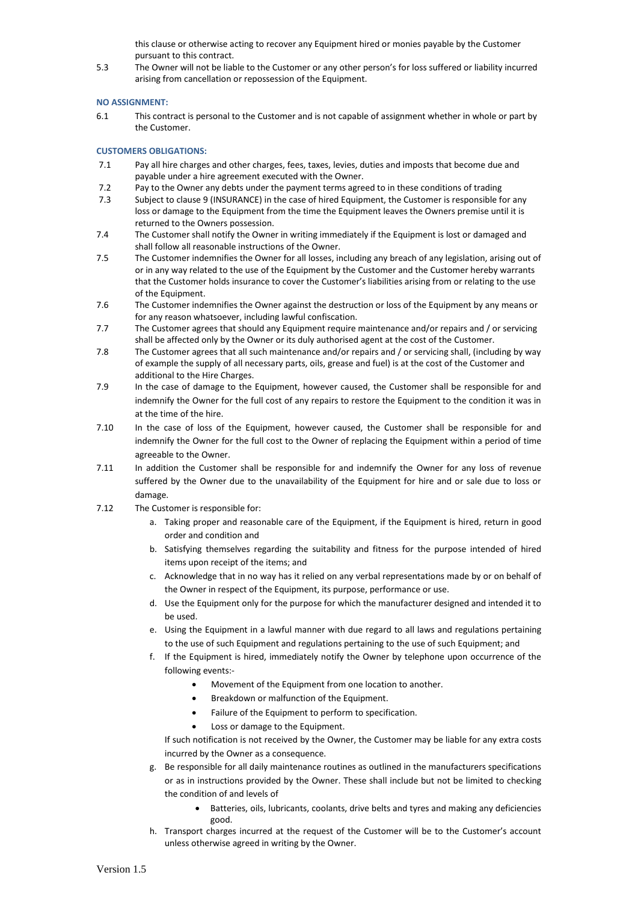this clause or otherwise acting to recover any Equipment hired or monies payable by the Customer pursuant to this contract.

5.3 The Owner will not be liable to the Customer or any other person's for loss suffered or liability incurred arising from cancellation or repossession of the Equipment.

## **NO ASSIGNMENT:**

6.1 This contract is personal to the Customer and is not capable of assignment whether in whole or part by the Customer.

# **CUSTOMERS OBLIGATIONS:**

- 7.1 Pay all hire charges and other charges, fees, taxes, levies, duties and imposts that become due and payable under a hire agreement executed with the Owner.
- 7.2 Pay to the Owner any debts under the payment terms agreed to in these conditions of trading
- 7.3 Subject to clause 9 (INSURANCE) in the case of hired Equipment, the Customer is responsible for any loss or damage to the Equipment from the time the Equipment leaves the Owners premise until it is returned to the Owners possession.
- 7.4 The Customer shall notify the Owner in writing immediately if the Equipment is lost or damaged and shall follow all reasonable instructions of the Owner.
- 7.5 The Customer indemnifies the Owner for all losses, including any breach of any legislation, arising out of or in any way related to the use of the Equipment by the Customer and the Customer hereby warrants that the Customer holds insurance to cover the Customer's liabilities arising from or relating to the use of the Equipment.
- 7.6 The Customer indemnifies the Owner against the destruction or loss of the Equipment by any means or for any reason whatsoever, including lawful confiscation.
- 7.7 The Customer agrees that should any Equipment require maintenance and/or repairs and / or servicing shall be affected only by the Owner or its duly authorised agent at the cost of the Customer.
- 7.8 The Customer agrees that all such maintenance and/or repairs and / or servicing shall, (including by way of example the supply of all necessary parts, oils, grease and fuel) is at the cost of the Customer and additional to the Hire Charges.
- 7.9 In the case of damage to the Equipment, however caused, the Customer shall be responsible for and indemnify the Owner for the full cost of any repairs to restore the Equipment to the condition it was in at the time of the hire.
- 7.10 In the case of loss of the Equipment, however caused, the Customer shall be responsible for and indemnify the Owner for the full cost to the Owner of replacing the Equipment within a period of time agreeable to the Owner.
- 7.11 In addition the Customer shall be responsible for and indemnify the Owner for any loss of revenue suffered by the Owner due to the unavailability of the Equipment for hire and or sale due to loss or damage.
- 7.12 The Customer is responsible for:
	- a. Taking proper and reasonable care of the Equipment, if the Equipment is hired, return in good order and condition and
	- b. Satisfying themselves regarding the suitability and fitness for the purpose intended of hired items upon receipt of the items; and
	- c. Acknowledge that in no way has it relied on any verbal representations made by or on behalf of the Owner in respect of the Equipment, its purpose, performance or use.
	- d. Use the Equipment only for the purpose for which the manufacturer designed and intended it to be used.
	- e. Using the Equipment in a lawful manner with due regard to all laws and regulations pertaining to the use of such Equipment and regulations pertaining to the use of such Equipment; and
	- f. If the Equipment is hired, immediately notify the Owner by telephone upon occurrence of the following events:-
		- Movement of the Equipment from one location to another.
		- Breakdown or malfunction of the Equipment.
		- Failure of the Equipment to perform to specification.
		- Loss or damage to the Equipment.

If such notification is not received by the Owner, the Customer may be liable for any extra costs incurred by the Owner as a consequence.

- g. Be responsible for all daily maintenance routines as outlined in the manufacturers specifications or as in instructions provided by the Owner. These shall include but not be limited to checking the condition of and levels of
	- Batteries, oils, lubricants, coolants, drive belts and tyres and making any deficiencies good.
- h. Transport charges incurred at the request of the Customer will be to the Customer's account unless otherwise agreed in writing by the Owner.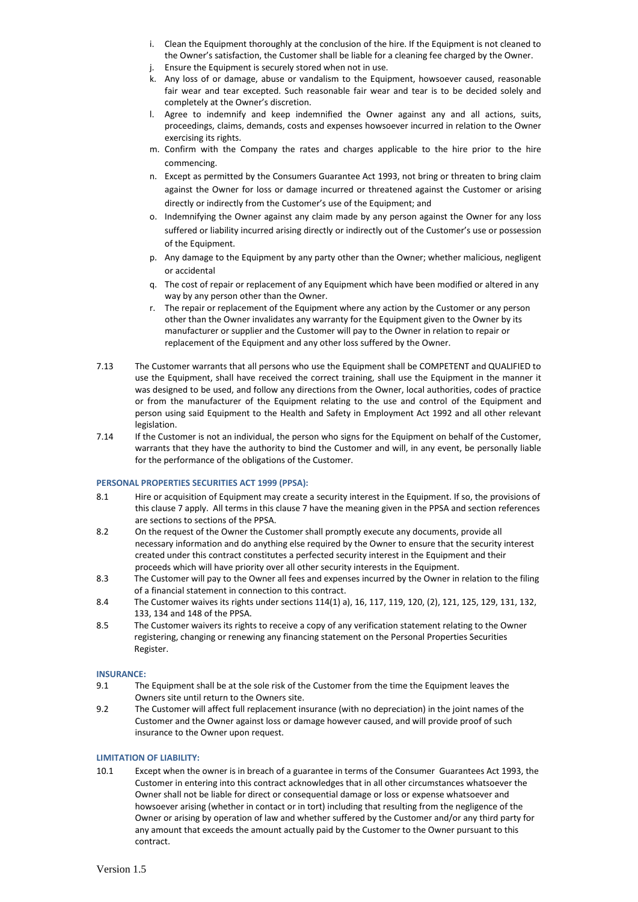- i. Clean the Equipment thoroughly at the conclusion of the hire. If the Equipment is not cleaned to the Owner's satisfaction, the Customer shall be liable for a cleaning fee charged by the Owner.
- j. Ensure the Equipment is securely stored when not in use.
- k. Any loss of or damage, abuse or vandalism to the Equipment, howsoever caused, reasonable fair wear and tear excepted. Such reasonable fair wear and tear is to be decided solely and completely at the Owner's discretion.
- l. Agree to indemnify and keep indemnified the Owner against any and all actions, suits, proceedings, claims, demands, costs and expenses howsoever incurred in relation to the Owner exercising its rights.
- m. Confirm with the Company the rates and charges applicable to the hire prior to the hire commencing.
- n. Except as permitted by the Consumers Guarantee Act 1993, not bring or threaten to bring claim against the Owner for loss or damage incurred or threatened against the Customer or arising directly or indirectly from the Customer's use of the Equipment; and
- o. Indemnifying the Owner against any claim made by any person against the Owner for any loss suffered or liability incurred arising directly or indirectly out of the Customer's use or possession of the Equipment.
- p. Any damage to the Equipment by any party other than the Owner; whether malicious, negligent or accidental
- q. The cost of repair or replacement of any Equipment which have been modified or altered in any way by any person other than the Owner.
- r. The repair or replacement of the Equipment where any action by the Customer or any person other than the Owner invalidates any warranty for the Equipment given to the Owner by its manufacturer or supplier and the Customer will pay to the Owner in relation to repair or replacement of the Equipment and any other loss suffered by the Owner.
- 7.13 The Customer warrants that all persons who use the Equipment shall be COMPETENT and QUALIFIED to use the Equipment, shall have received the correct training, shall use the Equipment in the manner it was designed to be used, and follow any directions from the Owner, local authorities, codes of practice or from the manufacturer of the Equipment relating to the use and control of the Equipment and person using said Equipment to the Health and Safety in Employment Act 1992 and all other relevant legislation.
- 7.14 If the Customer is not an individual, the person who signs for the Equipment on behalf of the Customer, warrants that they have the authority to bind the Customer and will, in any event, be personally liable for the performance of the obligations of the Customer.

## **PERSONAL PROPERTIES SECURITIES ACT 1999 (PPSA):**

- 8.1 Hire or acquisition of Equipment may create a security interest in the Equipment. If so, the provisions of this clause 7 apply. All terms in this clause 7 have the meaning given in the PPSA and section references are sections to sections of the PPSA.
- 8.2 On the request of the Owner the Customer shall promptly execute any documents, provide all necessary information and do anything else required by the Owner to ensure that the security interest created under this contract constitutes a perfected security interest in the Equipment and their proceeds which will have priority over all other security interests in the Equipment.
- 8.3 The Customer will pay to the Owner all fees and expenses incurred by the Owner in relation to the filing of a financial statement in connection to this contract.
- 8.4 The Customer waives its rights under sections 114(1) a), 16, 117, 119, 120, (2), 121, 125, 129, 131, 132, 133, 134 and 148 of the PPSA.
- 8.5 The Customer waivers its rights to receive a copy of any verification statement relating to the Owner registering, changing or renewing any financing statement on the Personal Properties Securities Register.

## **INSURANCE:**

- 9.1 The Equipment shall be at the sole risk of the Customer from the time the Equipment leaves the Owners site until return to the Owners site.
- 9.2 The Customer will affect full replacement insurance (with no depreciation) in the joint names of the Customer and the Owner against loss or damage however caused, and will provide proof of such insurance to the Owner upon request.

## **LIMITATION OF LIABILITY:**

10.1 Except when the owner is in breach of a guarantee in terms of the Consumer Guarantees Act 1993, the Customer in entering into this contract acknowledges that in all other circumstances whatsoever the Owner shall not be liable for direct or consequential damage or loss or expense whatsoever and howsoever arising (whether in contact or in tort) including that resulting from the negligence of the Owner or arising by operation of law and whether suffered by the Customer and/or any third party for any amount that exceeds the amount actually paid by the Customer to the Owner pursuant to this contract.